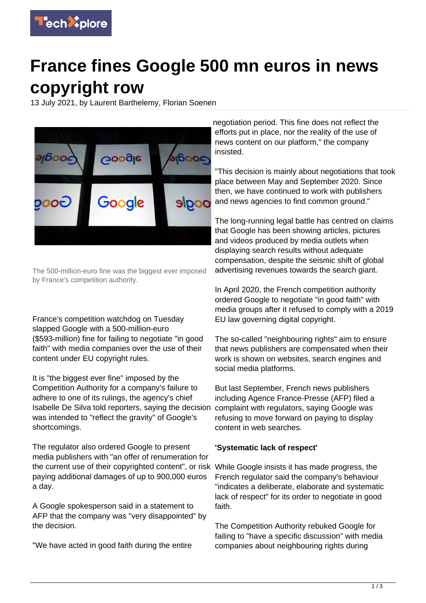

## **France fines Google 500 mn euros in news copyright row**

13 July 2021, by Laurent Barthelemy, Florian Soenen



The 500-million-euro fine was the biggest ever imposed by France's competition authority.

France's competition watchdog on Tuesday slapped Google with a 500-million-euro (\$593-million) fine for failing to negotiate "in good faith" with media companies over the use of their content under EU copyright rules.

It is "the biggest ever fine" imposed by the Competition Authority for a company's failure to adhere to one of its rulings, the agency's chief Isabelle De Silva told reporters, saying the decision was intended to "reflect the gravity" of Google's shortcomings.

The regulator also ordered Google to present media publishers with "an offer of renumeration for the current use of their copyrighted content", or risk While Google insists it has made progress, the paying additional damages of up to 900,000 euros a day.

A Google spokesperson said in a statement to AFP that the company was "very disappointed" by the decision.

"We have acted in good faith during the entire

negotiation period. This fine does not reflect the efforts put in place, nor the reality of the use of news content on our platform," the company insisted.

"This decision is mainly about negotiations that took place between May and September 2020. Since then, we have continued to work with publishers and news agencies to find common ground."

The long-running legal battle has centred on claims that Google has been showing articles, pictures and videos produced by media outlets when displaying search results without adequate compensation, despite the seismic shift of global advertising revenues towards the search giant.

In April 2020, the French competition authority ordered Google to negotiate "in good faith" with media groups after it refused to comply with a 2019 EU law governing digital copyright.

The so-called "neighbouring rights" aim to ensure that news publishers are compensated when their work is shown on websites, search engines and social media platforms.

But last September, French news publishers including Agence France-Presse (AFP) filed a complaint with regulators, saying Google was refusing to move forward on paying to display content in web searches.

## **'Systematic lack of respect'**

French regulator said the company's behaviour "indicates a deliberate, elaborate and systematic lack of respect" for its order to negotiate in good faith.

The Competition Authority rebuked Google for failing to "have a specific discussion" with media companies about neighbouring rights during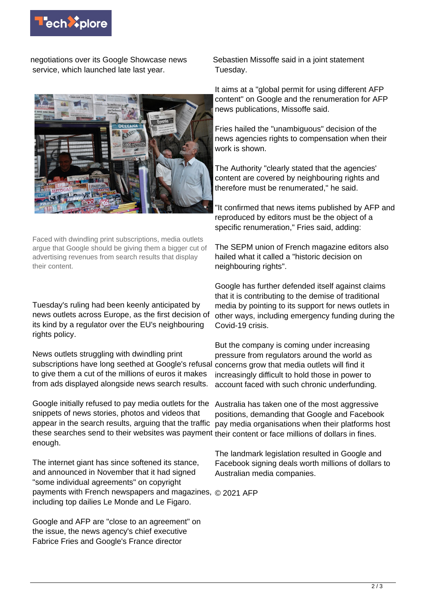

negotiations over its Google Showcase news service, which launched late last year.



Faced with dwindling print subscriptions, media outlets argue that Google should be giving them a bigger cut of advertising revenues from search results that display their content.

Tuesday's ruling had been keenly anticipated by news outlets across Europe, as the first decision of its kind by a regulator over the EU's neighbouring rights policy.

News outlets struggling with dwindling print subscriptions have long seethed at Google's refusal to give them a cut of the millions of euros it makes from ads displayed alongside news search results.

Google initially refused to pay media outlets for the snippets of news stories, photos and videos that appear in the search results, arguing that the traffic these searches send to their websites was payment their content or face millions of dollars in fines. enough.

The internet giant has since softened its stance, and announced in November that it had signed "some individual agreements" on copyright payments with French newspapers and magazines, © 2021 AFP including top dailies Le Monde and Le Figaro.

Google and AFP are "close to an agreement" on the issue, the news agency's chief executive Fabrice Fries and Google's France director

Sebastien Missoffe said in a joint statement Tuesday.

It aims at a "global permit for using different AFP content" on Google and the renumeration for AFP news publications, Missoffe said.

Fries hailed the "unambiguous" decision of the news agencies rights to compensation when their work is shown.

The Authority "clearly stated that the agencies' content are covered by neighbouring rights and therefore must be renumerated," he said.

"It confirmed that news items published by AFP and reproduced by editors must be the object of a specific renumeration," Fries said, adding:

The SEPM union of French magazine editors also hailed what it called a "historic decision on neighbouring rights".

Google has further defended itself against claims that it is contributing to the demise of traditional media by pointing to its support for news outlets in other ways, including emergency funding during the Covid-19 crisis.

But the company is coming under increasing pressure from regulators around the world as concerns grow that media outlets will find it increasingly difficult to hold those in power to account faced with such chronic underfunding.

Australia has taken one of the most aggressive positions, demanding that Google and Facebook pay media organisations when their platforms host

The landmark legislation resulted in Google and Facebook signing deals worth millions of dollars to Australian media companies.